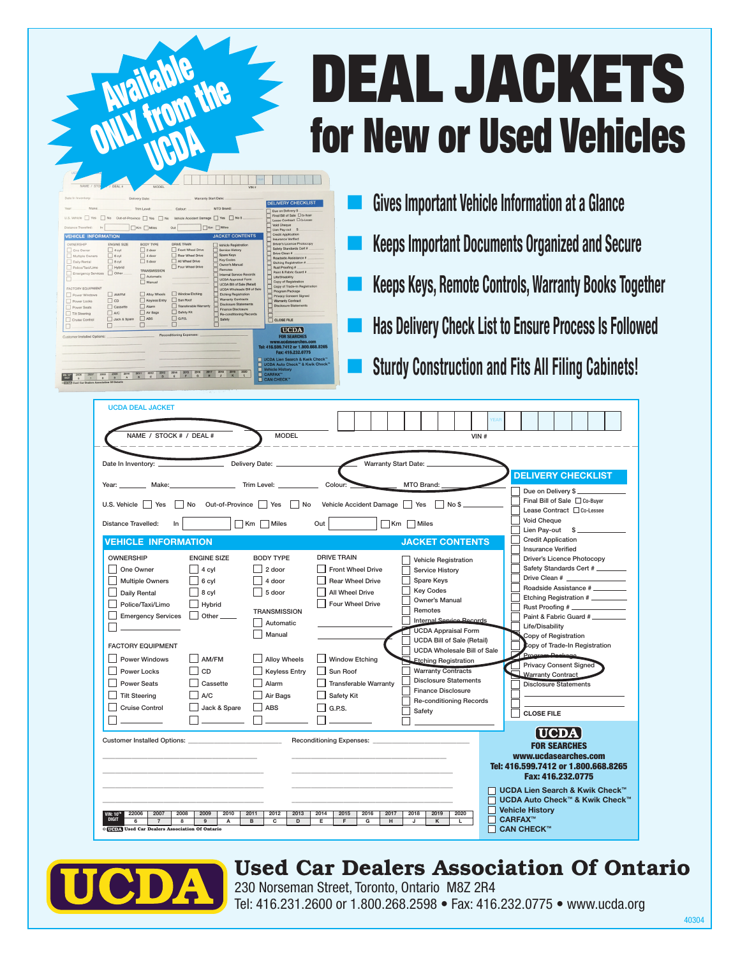## DEAL JACKETS for New or Used Vehicles

| Distance Trayelled:<br>□Km □ Miles<br>□Km □Miles<br>Out<br>Lien Pay-out \$<br><b>Credit Application</b><br><b>JACKET CONTENTS</b><br><b>VEHICLE INFORMATION</b><br><b>Insurance Verified</b><br>Driver's Licence Photocopy<br><b>BODY TYPE</b><br>DRIVE TRAIN<br>OWNERSHIP<br><b>ENGINE SIZE</b><br>Vehicle Registration<br>Safety Standards Cert #<br>Front Wheel Drive<br>Service History<br>One Owner<br>2 door<br>4 cvl<br>Drive Clean #<br>Spare Keys<br>Rear Wheel Drive<br>4 door<br>Multiple Owners<br>6 cvl<br>Roadside Assistance #<br><b>Key Codes</b><br>All Wheel Drive<br>5 door<br>Daily Rental<br>8 cvl<br>Etching Registration #<br>Owner's Manual<br>Four Wheel Drive<br>Police/Taxi/Limo<br>Hybrid<br>Rust Proofing #<br>Remotes<br><b>TRANSMISSION</b><br>Paint & Fabric Guard #<br>Other<br>Emergency Services<br>Internal Service Records<br>Automatic<br>Life/Disability<br><b>UCDA Appraisal Form</b><br>Copy of Registration<br>Manual<br><b>UCDA Bill of Sale (Retail)</b><br>Copy of Trade-In Registration<br><b><i>FACTORY FOUIPMENT</i></b><br><b>UCDA Wholesale Bill of Sale</b><br>Program Package<br>Window Etching<br>Alloy Wheels<br><b>Etching Registration</b><br>AM/FM<br>Power Windows<br>Privacy Consent Signed<br><b>Warranty Contracts</b><br>Sun Boot<br>Keyless Entry<br>CD<br><b>Warranty Contract</b><br>Power Locks<br><b>Disclosure Statements</b><br>Disclosure Statements<br>Transferable Warranty<br><b>Alarm</b><br>Cassette<br>Power Seats<br>Finance Disclosure<br>Safety Kit<br>Air Bags<br>$\Delta/\Gamma$<br><b>Tilt Steering</b><br><b>Re-conditioning Records</b><br>G.P.S.<br><b>ARS</b><br>Jack & Spare<br>Safety<br>Cruise Control<br><b>CLOSE FILE</b><br>[UCDA]<br>Reconditioning Expenses:<br><b>FOR SEARCHES</b><br>Customer Installed Options:<br>www.ucdasearches.com<br>Tel: 416.599.7412 or 1.800.668.8265<br>Fax: 416.232.0775 | Date In Inventory:<br>Make:<br>Vear:<br>U.S. Vehicle   Yes | No | Delivery Date:<br>Trim Loyel:<br>Out-of-Province Yes No | Colour | Warranty Start Date:<br>MTO Brand:<br>Vehicle Accident Damage   Yes<br>$\n  No S\n$ | <b>DELIVERY CHECKLIST</b><br>Due on Delivery \$<br>Final Bill of Sale CO-Buyer<br>Lease Contract Co-Lessee<br>Void Cheque |
|------------------------------------------------------------------------------------------------------------------------------------------------------------------------------------------------------------------------------------------------------------------------------------------------------------------------------------------------------------------------------------------------------------------------------------------------------------------------------------------------------------------------------------------------------------------------------------------------------------------------------------------------------------------------------------------------------------------------------------------------------------------------------------------------------------------------------------------------------------------------------------------------------------------------------------------------------------------------------------------------------------------------------------------------------------------------------------------------------------------------------------------------------------------------------------------------------------------------------------------------------------------------------------------------------------------------------------------------------------------------------------------------------------------------------------------------------------------------------------------------------------------------------------------------------------------------------------------------------------------------------------------------------------------------------------------------------------------------------------------------------------------------------------------------------------------------------------------------------------------------------------------------------|------------------------------------------------------------|----|---------------------------------------------------------|--------|-------------------------------------------------------------------------------------|---------------------------------------------------------------------------------------------------------------------------|
|                                                                                                                                                                                                                                                                                                                                                                                                                                                                                                                                                                                                                                                                                                                                                                                                                                                                                                                                                                                                                                                                                                                                                                                                                                                                                                                                                                                                                                                                                                                                                                                                                                                                                                                                                                                                                                                                                                      |                                                            |    |                                                         |        |                                                                                     |                                                                                                                           |
|                                                                                                                                                                                                                                                                                                                                                                                                                                                                                                                                                                                                                                                                                                                                                                                                                                                                                                                                                                                                                                                                                                                                                                                                                                                                                                                                                                                                                                                                                                                                                                                                                                                                                                                                                                                                                                                                                                      |                                                            |    |                                                         |        |                                                                                     |                                                                                                                           |
|                                                                                                                                                                                                                                                                                                                                                                                                                                                                                                                                                                                                                                                                                                                                                                                                                                                                                                                                                                                                                                                                                                                                                                                                                                                                                                                                                                                                                                                                                                                                                                                                                                                                                                                                                                                                                                                                                                      |                                                            |    |                                                         |        |                                                                                     |                                                                                                                           |
|                                                                                                                                                                                                                                                                                                                                                                                                                                                                                                                                                                                                                                                                                                                                                                                                                                                                                                                                                                                                                                                                                                                                                                                                                                                                                                                                                                                                                                                                                                                                                                                                                                                                                                                                                                                                                                                                                                      |                                                            |    |                                                         |        |                                                                                     |                                                                                                                           |

**Available** 

 Gives Important Vehicle Information at a Glance Keeps Important Documents Organized and Secure Keeps Keys, Remote Controls, Warranty Books Together Has Delivery Check List to Ensure Process Is Followed Sturdy Construction and Fits All Filing Cabinets!

| <b>UCDA DEAL JACKET</b>                                                                                                                              |                                                                                            |                                                                |
|------------------------------------------------------------------------------------------------------------------------------------------------------|--------------------------------------------------------------------------------------------|----------------------------------------------------------------|
|                                                                                                                                                      |                                                                                            |                                                                |
| NAME / STOCK # / DEAL #<br><b>MODEL</b>                                                                                                              | VIN#                                                                                       |                                                                |
|                                                                                                                                                      |                                                                                            |                                                                |
| Date In Inventory:<br>Delivery Date: _                                                                                                               | Warranty Start Date:                                                                       |                                                                |
|                                                                                                                                                      |                                                                                            | <b>DELIVERY CHECKLIST</b>                                      |
| Trim Level: __<br>Year: _<br>__ Make:                                                                                                                | Colour:<br>MTO Brand:                                                                      | Due on Delivery \$_                                            |
|                                                                                                                                                      |                                                                                            | Final Bill of Sale □ Co-Buver                                  |
| Out-of-Province     Yes     No<br>U.S. Vehicle   Yes<br>No                                                                                           | Vehicle Accident Damage   Yes<br>No \$                                                     | Lease Contract □ Co-Lessee                                     |
| Km Miles<br>Distance Travelled:<br>In.                                                                                                               | $\Box$ Km $\Box$ Miles<br>Out                                                              | Void Cheque                                                    |
|                                                                                                                                                      |                                                                                            | Lien Pay-out \$                                                |
| <b>VEHICLE INFORMATION</b>                                                                                                                           | <b>JACKET CONTENTS</b>                                                                     | <b>Credit Application</b>                                      |
| <b>OWNERSHIP</b><br><b>ENGINE SIZE</b><br><b>BODY TYPE</b>                                                                                           | <b>DRIVE TRAIN</b><br><b>Vehicle Registration</b>                                          | <b>Insurance Verified</b><br><b>Driver's Licence Photocopy</b> |
| One Owner<br>2 door<br>4 cyl                                                                                                                         | <b>Front Wheel Drive</b><br>Service History                                                | Safety Standards Cert #                                        |
| <b>Multiple Owners</b><br>6 cyl<br>4 door                                                                                                            | <b>Rear Wheel Drive</b><br>Spare Keys                                                      |                                                                |
| Daily Rental<br>8 cyl<br>5 door                                                                                                                      | <b>Key Codes</b><br>All Wheel Drive                                                        | Roadside Assistance #                                          |
| Police/Taxi/Limo<br>Hybrid                                                                                                                           | Owner's Manual<br>Four Wheel Drive                                                         | Etching Registration #                                         |
| <b>TRANSMISSION</b><br><b>Emergency Services</b><br>Other.                                                                                           | Remotes                                                                                    | Rust Proofing #<br>Paint & Fabric Guard #                      |
| Automatic                                                                                                                                            | Internal Sensice Records                                                                   | Life/Disability                                                |
| Manual                                                                                                                                               | <b>UCDA Appraisal Form</b>                                                                 | Copy of Registration                                           |
| <b>FACTORY EQUIPMENT</b>                                                                                                                             | <b>UCDA Bill of Sale (Retail)</b>                                                          | copy of Trade-In Registration                                  |
| <b>Alloy Wheels</b><br><b>Power Windows</b><br>AM/FM                                                                                                 | <b>UCDA Wholesale Bill of Sale</b><br><b>Window Etching</b><br><b>Etching Registration</b> | Program Peekage                                                |
| Power Locks<br><b>Keyless Entry</b><br>CD                                                                                                            | <b>Warranty Contracts</b><br>Sun Roof                                                      | <b>Privacy Consent Signed</b>                                  |
| <b>Power Seats</b><br>Cassette<br>Alarm                                                                                                              | <b>Disclosure Statements</b><br><b>Transferable Warranty</b>                               | <b>Warranty Contract</b><br><b>Disclosure Statements</b>       |
| <b>Tilt Steering</b><br>A/C<br>Air Bags                                                                                                              | <b>Finance Disclosure</b><br>Safety Kit                                                    |                                                                |
| <b>Cruise Control</b><br><b>ABS</b>                                                                                                                  | <b>Re-conditioning Records</b>                                                             |                                                                |
| <b>Jack &amp; Spare</b>                                                                                                                              | G.P.S.<br>Safety                                                                           | <b>CLOSE FILE</b>                                              |
|                                                                                                                                                      |                                                                                            |                                                                |
| Customer Installed Options:                                                                                                                          | <b>Reconditioning Expenses:</b>                                                            | <b>[UCDA]</b>                                                  |
|                                                                                                                                                      |                                                                                            | <b>FOR SEARCHES</b>                                            |
|                                                                                                                                                      |                                                                                            | www.ucdasearches.com                                           |
|                                                                                                                                                      |                                                                                            | Tel: 416.599.7412 or 1.800.668.8265<br>Fax: 416.232.0775       |
|                                                                                                                                                      |                                                                                            | <b>UCDA Lien Search &amp; Kwik Check™</b>                      |
|                                                                                                                                                      |                                                                                            | <b>UCDA Auto Check™ &amp; Kwik Check™</b>                      |
| 22006<br>2007<br>2008<br>2009<br>2010<br>2011<br>2012                                                                                                | 2020<br>2013<br>2014<br>2015<br>2016<br>2017<br>2018<br>2019                               | <b>Vehicle History</b>                                         |
| VIN: 10™<br>Digit<br>$\overline{\mathbf{8}}$<br>$\overline{9}$<br>$\overline{B}$<br>$\overline{\mathbf{c}}$<br>$\overline{7}$<br>$\overline{A}$<br>6 | D<br>Έ<br>F<br>$\overline{G}$<br>H<br>J<br>$\overline{\mathsf{K}}$<br>τ                    | <b>CARFAX™</b>                                                 |
| <b>CHEM</b> Used Car Dealers Association Of Ontario                                                                                                  |                                                                                            | <b>CAN CHECK™</b>                                              |



## Used Car Dealers Association Of Ontario

230 Norseman Street, Toronto, Ontario M8Z 2R4 Tel: 416.231.2600 or 1.800.268.2598 • Fax: 416.232.0775 • www.ucda.org